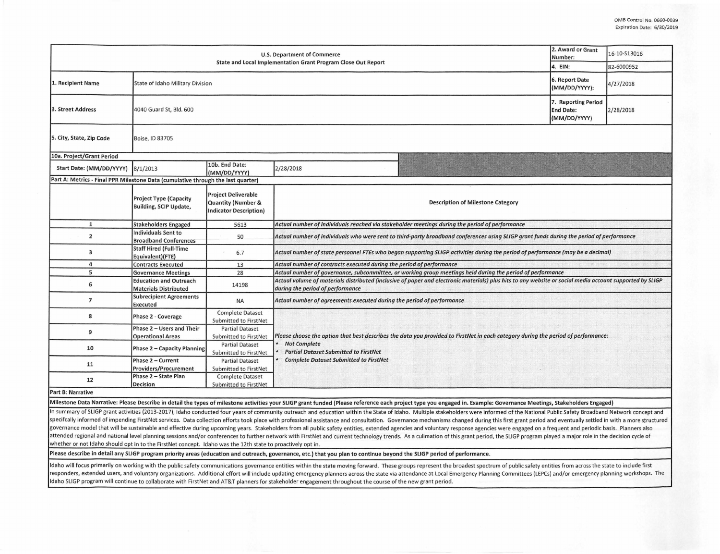|                                                                                  | 2. Award or Grant<br>Number:                                                                                                                                                                                                                  | 16-10-S13016                                                                                                           |                                                                                                                                                                                              |  |  |  |  |  |  |
|----------------------------------------------------------------------------------|-----------------------------------------------------------------------------------------------------------------------------------------------------------------------------------------------------------------------------------------------|------------------------------------------------------------------------------------------------------------------------|----------------------------------------------------------------------------------------------------------------------------------------------------------------------------------------------|--|--|--|--|--|--|
|                                                                                  | 4. EIN:                                                                                                                                                                                                                                       | 82-6000952                                                                                                             |                                                                                                                                                                                              |  |  |  |  |  |  |
| 1. Recipient Name                                                                | State of Idaho Military Division                                                                                                                                                                                                              | 6. Report Date<br>(MM/DD/YYYY):                                                                                        | 4/27/2018                                                                                                                                                                                    |  |  |  |  |  |  |
| 3. Street Address                                                                | 7. Reporting Period<br>4040 Guard St, Bld. 600<br><b>End Date:</b><br>2/28/2018<br>(MM/DD/YYYY)                                                                                                                                               |                                                                                                                        |                                                                                                                                                                                              |  |  |  |  |  |  |
| 5. City, State, Zip Code                                                         | Boise, ID 83705                                                                                                                                                                                                                               |                                                                                                                        |                                                                                                                                                                                              |  |  |  |  |  |  |
| 10a. Project/Grant Period                                                        |                                                                                                                                                                                                                                               |                                                                                                                        |                                                                                                                                                                                              |  |  |  |  |  |  |
| Start Date: (MM/DD/YYYY) 8/1/2013                                                | 10b. End Date:<br>2/28/2018<br>(MM/DD/YYYY)                                                                                                                                                                                                   |                                                                                                                        |                                                                                                                                                                                              |  |  |  |  |  |  |
| Part A: Metrics - Final PPR Milestone Data (cumulative through the last quarter) |                                                                                                                                                                                                                                               |                                                                                                                        |                                                                                                                                                                                              |  |  |  |  |  |  |
|                                                                                  | <b>Project Type (Capacity</b><br>Building, SCIP Update,                                                                                                                                                                                       | <b>Project Deliverable</b><br>Quantity (Number &<br>Indicator Description)                                             | <b>Description of Milestone Category</b>                                                                                                                                                     |  |  |  |  |  |  |
| $\mathbf{1}$                                                                     | <b>Stakeholders Engaged</b>                                                                                                                                                                                                                   | 5613                                                                                                                   | Actual number of individuals reached via stakeholder meetings during the period of performance                                                                                               |  |  |  |  |  |  |
| $\overline{2}$                                                                   | <b>Individuals Sent to</b><br><b>Broadband Conferences</b>                                                                                                                                                                                    | 50                                                                                                                     | Actual number of individuals who were sent to third-party broadband conferences using SLIGP grant funds during the period of performance                                                     |  |  |  |  |  |  |
| 3                                                                                | <b>Staff Hired (Full-Time</b><br>Actual number of state personnel FTEs who began supporting SLIGP activities during the period of performance (may be a decimal)<br>6.7<br>Equivalent)(FTE)                                                   |                                                                                                                        |                                                                                                                                                                                              |  |  |  |  |  |  |
| 4                                                                                | <b>Contracts Executed</b><br>Actual number of contracts executed during the period of performance<br>13                                                                                                                                       |                                                                                                                        |                                                                                                                                                                                              |  |  |  |  |  |  |
| 5                                                                                | <b>Governance Meetings</b>                                                                                                                                                                                                                    | 28                                                                                                                     | Actual number of governance, subcommittee, or working group meetings held during the period of performance                                                                                   |  |  |  |  |  |  |
| 6                                                                                | <b>Education and Outreach</b><br><b>Materials Distributed</b>                                                                                                                                                                                 | 14198                                                                                                                  | Actual volume of materials distributed (inclusive of paper and electronic materials) plus hits to any website or social media account supported by SLIGP<br>during the period of performance |  |  |  |  |  |  |
| $\overline{7}$                                                                   | <b>Subrecipient Agreements</b><br><b>Executed</b>                                                                                                                                                                                             | <b>NA</b>                                                                                                              | Actual number of agreements executed during the period of performance                                                                                                                        |  |  |  |  |  |  |
| 8                                                                                | Phase 2 - Coverage                                                                                                                                                                                                                            | <b>Complete Dataset</b><br>Submitted to FirstNet                                                                       |                                                                                                                                                                                              |  |  |  |  |  |  |
| 9                                                                                | Phase 2 - Users and Their<br><b>Operational Areas</b>                                                                                                                                                                                         | <b>Partial Dataset</b><br>Submitted to FirstNet                                                                        | Please choose the option that best describes the data you provided to FirstNet in each category during the period of performance:                                                            |  |  |  |  |  |  |
| 10                                                                               | <b>Phase 2 – Capacity Planning</b>                                                                                                                                                                                                            | <b>Not Complete</b><br><b>Partial Dataset</b><br><b>Partial Dataset Submitted to FirstNet</b><br>Submitted to FirstNet |                                                                                                                                                                                              |  |  |  |  |  |  |
| 11                                                                               | <b>Complete Dataset Submitted to FirstNet</b><br>Phase 2 - Current<br><b>Partial Dataset</b><br>Providers/Procurement<br>Submitted to FirstNet<br>Phase 2 - State Plan<br><b>Complete Dataset</b><br><b>Decision</b><br>Submitted to FirstNet |                                                                                                                        |                                                                                                                                                                                              |  |  |  |  |  |  |
| 12                                                                               |                                                                                                                                                                                                                                               |                                                                                                                        |                                                                                                                                                                                              |  |  |  |  |  |  |
| <b>Part B: Narrative</b>                                                         |                                                                                                                                                                                                                                               |                                                                                                                        |                                                                                                                                                                                              |  |  |  |  |  |  |

Milestone Data Narrative: Please Describe in detail the types of milestone activities your SLIGP grant funded {Please reference each project type you engaged in. Example: Governance Meetings, Stakeholders Engaged)

In summary of SLIGP grant activities (2013-2017), Idaho conducted four years of community outreach and education within the State of Idaho. Multiple stakeholders were informed of the National Public Safety Broadband Networ specifcally informed of impending FirstNet services. Data collection efforts took place with professional assistance and consultation. Governance mechanisms changed during this first grant period and eventually settled in governance model that will be sustainable and effective during upcoming years. Stakeholders from all public safety entities, extended agencies and voluntary response agencies were engaged on a frequent and periodic basis. attended regional and national level planning sessions and/or conferences to further network with FirstNet and current technology trends. As a culimation of this grant period, the SLIGP program played a major role in the d whether or not Idaho should opt in to the FirstNet concept. Idaho was the 12th state to proactively opt in.

Please describe in detail any SLIGP program priority areas (education and outreach, governance, etc.) that you plan to continue beyond the SLIGP period of performance.

Idaho will focus primarily on working with the public safety communications governance entities within the state moving forward. These groups represent the broadest spectrum of public safety entities from across the state responders, extended users, and voluntary organizations. Additional effort will include updating emergency planners across the state via attendance at Local Emergency Planning Committees (LEPCs) and/or emergency planning w Idaho SLIGP program will continue to collaborate with FirstNet and AT&T planners for stakeholder engagement throughout the course of the new grant period.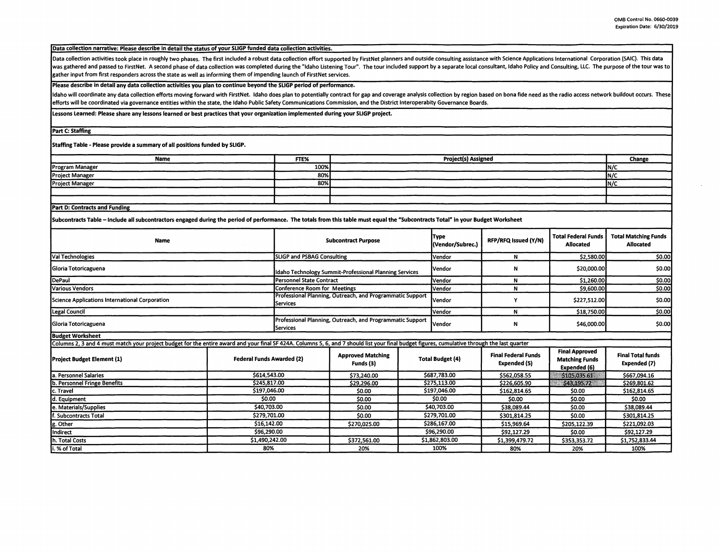Data collection narrative: Please describe in detail the status of your SLIGP funded data collection activities.

Data collection activities took place in roughly two phases. The first included a robust data collection effort supported by FirstNet planners and outside consulting assistance with Science Applications International Corpo was gathered and passed to FirstNet. A second phase of data collection was completed during the "Idaho Listening Tour". The tour included support by a separate local consultant, Idaho Policy and Consulting, LLC. The purpos gather input from first responders across the state as well as informing them of impending launch of FirstNet services.

## Please describe in detail any data collection activities you plan to continue beyond the SLIGP period of performance.

Idaho will coordinate any data collection efforts moving forward with FirstNet. Idaho does plan to potentially contract for gap and coverage analysis collection by region based on bona fide need as the radio access network efforts will be coordinated via governance entities within the state, the Idaho Public Safety Communications Commission, and the District Interoperabity Governance Boards.

Lessons Learned: Please share any lessons learned or best practices that your organization implemented during your SLIGP project\_

Part C: Staffing

Staffing Table - Please provide a summary of all positions funded by SLIGP.

| <b>Name</b>                          | FTE% | <b>Project(s) Assigned</b> | Change |  |  |  |
|--------------------------------------|------|----------------------------|--------|--|--|--|
| Program Manager                      | 100% |                            | IN/C   |  |  |  |
| <b>Project Manager</b>               | 80%  |                            | IN/C   |  |  |  |
| <b>Project Manager</b>               | 80%  |                            | IN/C   |  |  |  |
|                                      |      |                            |        |  |  |  |
|                                      |      |                            |        |  |  |  |
| <b>Part D: Contracts and Funding</b> |      |                            |        |  |  |  |

Subcontracts Table - Include all subcontractors engaged during the period of performance. The totals from this table must equal the "Subcontracts Total" in your Budget Worksheet

| <b>Name</b>                                                                                                                                                                                   | <b>Subcontract Purpose</b>                                                     |                              |                                       | <b>Type</b><br>(Vendor/Subrec.) | RFP/RFQ Issued (Y/N) | <b>Total Federal Funds</b><br><b>Allocated</b> | <b>Total Matching Funds</b><br>Allocated                       |                                          |
|-----------------------------------------------------------------------------------------------------------------------------------------------------------------------------------------------|--------------------------------------------------------------------------------|------------------------------|---------------------------------------|---------------------------------|----------------------|------------------------------------------------|----------------------------------------------------------------|------------------------------------------|
| Val Technologies                                                                                                                                                                              |                                                                                | SLIGP and PSBAG Consulting   |                                       | Vendor                          | N                    | \$2,580.00                                     | \$0.00                                                         |                                          |
| <b>IGloria Totoricaguena</b>                                                                                                                                                                  | Idaho Technology Summit-Professional Planning Services                         |                              | <b>Nendor</b>                         | N                               | \$20,000.00          | \$0.00                                         |                                                                |                                          |
| <i>DePaul</i>                                                                                                                                                                                 |                                                                                | l Personnel State Contract   |                                       |                                 | lVendor              | N                                              | \$1,260.00                                                     | \$0.00                                   |
| Various Vendors                                                                                                                                                                               |                                                                                | Conference Room for Meetings |                                       |                                 | Vendor               | N                                              | \$9,600.00                                                     | \$0.00                                   |
| Science Applications International Corporation                                                                                                                                                | Professional Planning, Outreach, and Programmatic Support<br><b>I</b> Services |                              | <b>I</b> Vendor                       | Υ                               | \$227,512.00         | \$0.00                                         |                                                                |                                          |
| Legal Council                                                                                                                                                                                 |                                                                                |                              | <b>Vendor</b>                         | N                               | \$18,750.00          | \$0.00                                         |                                                                |                                          |
| Gloria Totoricaguena                                                                                                                                                                          | Professional Planning, Outreach, and Programmatic Support<br><b>I</b> Services |                              | <b>Vendor</b>                         | Ν                               | \$46,000.00          | <b>SO.OO</b>                                   |                                                                |                                          |
| <b>Budget Worksheet</b>                                                                                                                                                                       |                                                                                |                              |                                       |                                 |                      |                                                |                                                                |                                          |
| Columns 2, 3 and 4 must match your project budget for the entire award and your final SF 424A. Columns 5, 6, and 7 should list your final budget figures, cumulative through the last quarter |                                                                                |                              |                                       |                                 |                      |                                                |                                                                |                                          |
| <b>Project Budget Element (1)</b>                                                                                                                                                             | <b>Federal Funds Awarded (2)</b>                                               |                              | <b>Approved Matching</b><br>Funds (3) | <b>Total Budget (4)</b>         |                      | <b>Final Federal Funds</b><br>Expended (5)     | <b>Final Approved</b><br><b>Matching Funds</b><br>Expended (6) | <b>Final Total funds</b><br>Expended (7) |
| a. Personnel Salaries                                                                                                                                                                         | \$614,543.00                                                                   |                              | \$73,240.00                           |                                 | \$687,783.00         | \$562,058.55                                   | \$105,035.61                                                   | \$667,094.16                             |
| b. Personnel Fringe Benefits                                                                                                                                                                  | \$245,817.00                                                                   |                              | \$29,296.00                           | \$275,113.00                    |                      | \$226,605.90                                   | \$43,195,72                                                    | \$269,801.62                             |
| c. Travel                                                                                                                                                                                     | \$197.046.00                                                                   |                              | \$0.00                                | \$197,046.00                    |                      | \$162,814.65                                   | \$0.00                                                         | \$162,814.65                             |
| d. Equipment                                                                                                                                                                                  | \$0.00                                                                         |                              | \$0.00                                | \$0.00                          |                      | \$0.00                                         | \$0.00                                                         | \$0.00                                   |
| e. Materials/Supplies                                                                                                                                                                         | \$40,703.00                                                                    |                              | \$0.00                                | \$40,703.00                     |                      | \$38,089.44                                    | \$0.00                                                         | \$38.089.44                              |
| lf. Subcontracts Total                                                                                                                                                                        | \$279,701.00                                                                   |                              | \$0.00                                | \$279,701.00                    |                      | \$301.814.25                                   | \$0.00                                                         | \$301,814.25                             |
| g. Other                                                                                                                                                                                      | \$16,142.00                                                                    |                              | \$270,025.00                          | \$286,167.00                    |                      | \$15,969.64                                    | \$205,122.39                                                   | \$221,092.03                             |
| Indirect                                                                                                                                                                                      | \$96.290.00                                                                    |                              |                                       |                                 | \$96,290.00          | \$92.127.29                                    | \$0.00                                                         | \$92,127.29                              |
| h. Total Costs                                                                                                                                                                                | \$1,490,242.00                                                                 |                              | \$372,561.00                          |                                 | \$1,862,803.00       | \$1,399,479.72                                 | \$353,353.72                                                   | \$1,752,833.44                           |
| i. % of Total                                                                                                                                                                                 | 80%                                                                            |                              | 20%                                   |                                 | 100%                 | 80%                                            | 20%                                                            | 100%                                     |